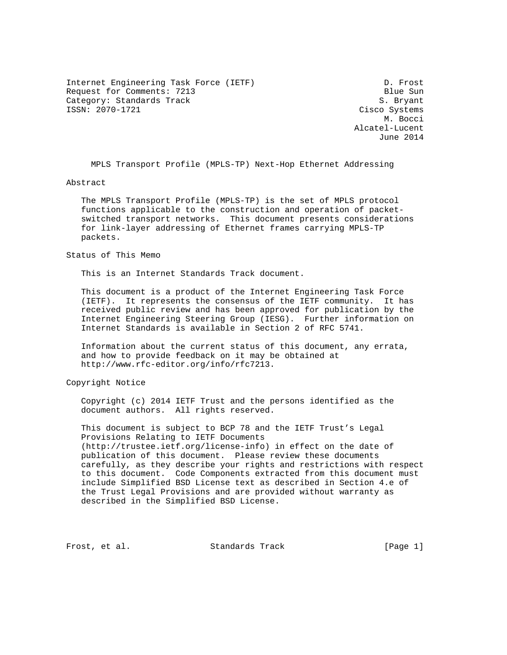Internet Engineering Task Force (IETF) D. Frost Request for Comments: 7213 Blue Sun Category: Standards Track and S. Bryant S. Bryant S. Bryant S. Bryant S. Bryant S. Bryant S. Bryant S. Bryant

Cisco Systems M. Bocci Alcatel-Lucent June 2014

MPLS Transport Profile (MPLS-TP) Next-Hop Ethernet Addressing

Abstract

 The MPLS Transport Profile (MPLS-TP) is the set of MPLS protocol functions applicable to the construction and operation of packet switched transport networks. This document presents considerations for link-layer addressing of Ethernet frames carrying MPLS-TP packets.

## Status of This Memo

This is an Internet Standards Track document.

 This document is a product of the Internet Engineering Task Force (IETF). It represents the consensus of the IETF community. It has received public review and has been approved for publication by the Internet Engineering Steering Group (IESG). Further information on Internet Standards is available in Section 2 of RFC 5741.

 Information about the current status of this document, any errata, and how to provide feedback on it may be obtained at http://www.rfc-editor.org/info/rfc7213.

Copyright Notice

 Copyright (c) 2014 IETF Trust and the persons identified as the document authors. All rights reserved.

 This document is subject to BCP 78 and the IETF Trust's Legal Provisions Relating to IETF Documents (http://trustee.ietf.org/license-info) in effect on the date of publication of this document. Please review these documents carefully, as they describe your rights and restrictions with respect to this document. Code Components extracted from this document must include Simplified BSD License text as described in Section 4.e of the Trust Legal Provisions and are provided without warranty as described in the Simplified BSD License.

Frost, et al. Standards Track [Page 1]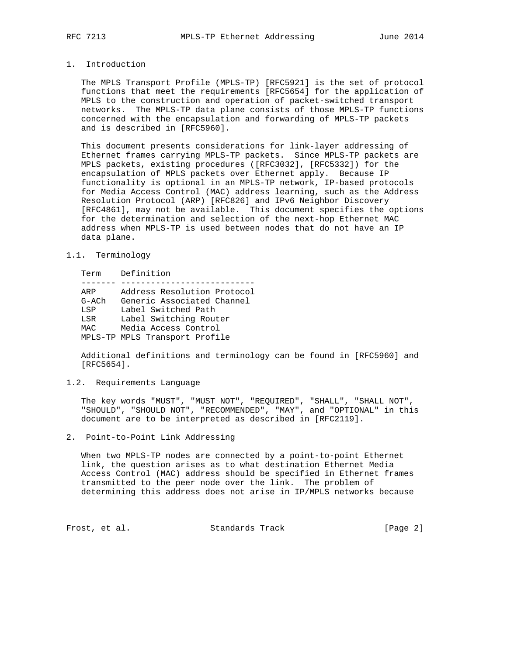# 1. Introduction

 The MPLS Transport Profile (MPLS-TP) [RFC5921] is the set of protocol functions that meet the requirements [RFC5654] for the application of MPLS to the construction and operation of packet-switched transport networks. The MPLS-TP data plane consists of those MPLS-TP functions concerned with the encapsulation and forwarding of MPLS-TP packets and is described in [RFC5960].

 This document presents considerations for link-layer addressing of Ethernet frames carrying MPLS-TP packets. Since MPLS-TP packets are MPLS packets, existing procedures ([RFC3032], [RFC5332]) for the encapsulation of MPLS packets over Ethernet apply. Because IP functionality is optional in an MPLS-TP network, IP-based protocols for Media Access Control (MAC) address learning, such as the Address Resolution Protocol (ARP) [RFC826] and IPv6 Neighbor Discovery [RFC4861], may not be available. This document specifies the options for the determination and selection of the next-hop Ethernet MAC address when MPLS-TP is used between nodes that do not have an IP data plane.

# 1.1. Terminology

Term Definition

| ARP     | Address Resolution Protocol    |
|---------|--------------------------------|
| $G-ACh$ | Generic Associated Channel     |
| LSP     | Label Switched Path            |
| LSR     | Label Switching Router         |
| MAC     | Media Access Control           |
|         | MPLS-TP MPLS Transport Profile |

 Additional definitions and terminology can be found in [RFC5960] and [RFC5654].

## 1.2. Requirements Language

 The key words "MUST", "MUST NOT", "REQUIRED", "SHALL", "SHALL NOT", "SHOULD", "SHOULD NOT", "RECOMMENDED", "MAY", and "OPTIONAL" in this document are to be interpreted as described in [RFC2119].

# 2. Point-to-Point Link Addressing

 When two MPLS-TP nodes are connected by a point-to-point Ethernet link, the question arises as to what destination Ethernet Media Access Control (MAC) address should be specified in Ethernet frames transmitted to the peer node over the link. The problem of determining this address does not arise in IP/MPLS networks because

Frost, et al. Standards Track [Page 2]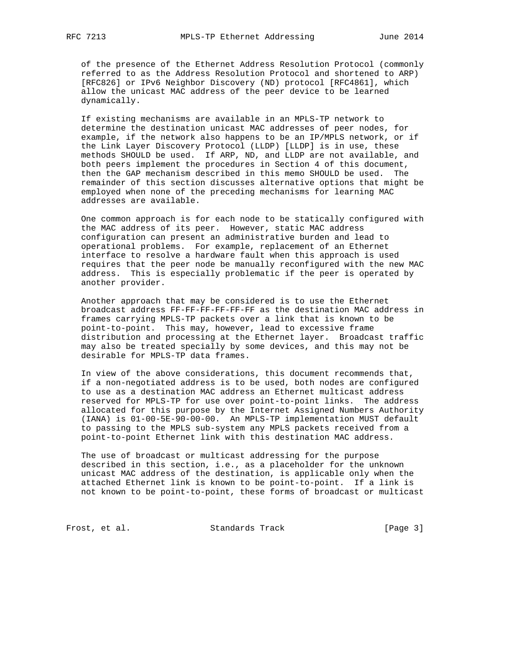of the presence of the Ethernet Address Resolution Protocol (commonly referred to as the Address Resolution Protocol and shortened to ARP) [RFC826] or IPv6 Neighbor Discovery (ND) protocol [RFC4861], which allow the unicast MAC address of the peer device to be learned dynamically.

 If existing mechanisms are available in an MPLS-TP network to determine the destination unicast MAC addresses of peer nodes, for example, if the network also happens to be an IP/MPLS network, or if the Link Layer Discovery Protocol (LLDP) [LLDP] is in use, these methods SHOULD be used. If ARP, ND, and LLDP are not available, and both peers implement the procedures in Section 4 of this document, then the GAP mechanism described in this memo SHOULD be used. The remainder of this section discusses alternative options that might be employed when none of the preceding mechanisms for learning MAC addresses are available.

 One common approach is for each node to be statically configured with the MAC address of its peer. However, static MAC address configuration can present an administrative burden and lead to operational problems. For example, replacement of an Ethernet interface to resolve a hardware fault when this approach is used requires that the peer node be manually reconfigured with the new MAC address. This is especially problematic if the peer is operated by another provider.

 Another approach that may be considered is to use the Ethernet broadcast address FF-FF-FF-FF-FF-FF as the destination MAC address in frames carrying MPLS-TP packets over a link that is known to be point-to-point. This may, however, lead to excessive frame distribution and processing at the Ethernet layer. Broadcast traffic may also be treated specially by some devices, and this may not be desirable for MPLS-TP data frames.

 In view of the above considerations, this document recommends that, if a non-negotiated address is to be used, both nodes are configured to use as a destination MAC address an Ethernet multicast address reserved for MPLS-TP for use over point-to-point links. The address allocated for this purpose by the Internet Assigned Numbers Authority (IANA) is 01-00-5E-90-00-00. An MPLS-TP implementation MUST default to passing to the MPLS sub-system any MPLS packets received from a point-to-point Ethernet link with this destination MAC address.

 The use of broadcast or multicast addressing for the purpose described in this section, i.e., as a placeholder for the unknown unicast MAC address of the destination, is applicable only when the attached Ethernet link is known to be point-to-point. If a link is not known to be point-to-point, these forms of broadcast or multicast

Frost, et al. Standards Track [Page 3]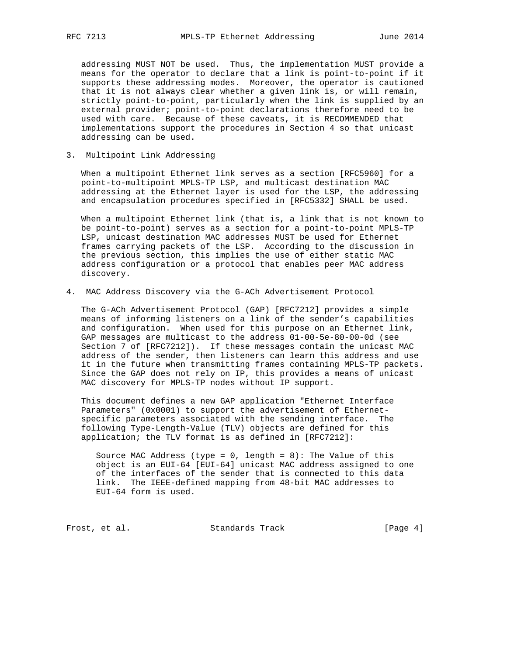addressing MUST NOT be used. Thus, the implementation MUST provide a means for the operator to declare that a link is point-to-point if it supports these addressing modes. Moreover, the operator is cautioned that it is not always clear whether a given link is, or will remain, strictly point-to-point, particularly when the link is supplied by an external provider; point-to-point declarations therefore need to be used with care. Because of these caveats, it is RECOMMENDED that implementations support the procedures in Section 4 so that unicast addressing can be used.

3. Multipoint Link Addressing

 When a multipoint Ethernet link serves as a section [RFC5960] for a point-to-multipoint MPLS-TP LSP, and multicast destination MAC addressing at the Ethernet layer is used for the LSP, the addressing and encapsulation procedures specified in [RFC5332] SHALL be used.

 When a multipoint Ethernet link (that is, a link that is not known to be point-to-point) serves as a section for a point-to-point MPLS-TP LSP, unicast destination MAC addresses MUST be used for Ethernet frames carrying packets of the LSP. According to the discussion in the previous section, this implies the use of either static MAC address configuration or a protocol that enables peer MAC address discovery.

4. MAC Address Discovery via the G-ACh Advertisement Protocol

 The G-ACh Advertisement Protocol (GAP) [RFC7212] provides a simple means of informing listeners on a link of the sender's capabilities and configuration. When used for this purpose on an Ethernet link, GAP messages are multicast to the address 01-00-5e-80-00-0d (see Section 7 of [RFC7212]). If these messages contain the unicast MAC address of the sender, then listeners can learn this address and use it in the future when transmitting frames containing MPLS-TP packets. Since the GAP does not rely on IP, this provides a means of unicast MAC discovery for MPLS-TP nodes without IP support.

 This document defines a new GAP application "Ethernet Interface Parameters" (0x0001) to support the advertisement of Ethernet specific parameters associated with the sending interface. The following Type-Length-Value (TLV) objects are defined for this application; the TLV format is as defined in [RFC7212]:

Source MAC Address (type =  $0$ , length =  $8$ ): The Value of this object is an EUI-64 [EUI-64] unicast MAC address assigned to one of the interfaces of the sender that is connected to this data link. The IEEE-defined mapping from 48-bit MAC addresses to EUI-64 form is used.

Frost, et al. Standards Track [Page 4]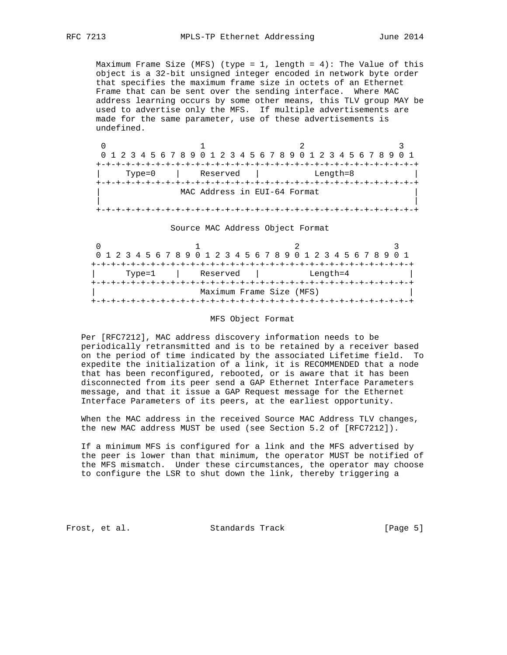Maximum Frame Size (MFS) (type = 1, length =  $4$ ): The Value of this object is a 32-bit unsigned integer encoded in network byte order that specifies the maximum frame size in octets of an Ethernet Frame that can be sent over the sending interface. Where MAC address learning occurs by some other means, this TLV group MAY be used to advertise only the MFS. If multiple advertisements are made for the same parameter, use of these advertisements is undefined.

|        |                              | 0 1 2 3 4 5 6 7 8 9 0 1 2 3 4 5 6 7 8 9 0 1 2 3 4 5 6 7 8 9 0 1 |  |  |  |  |  |  |  |  |  |  |
|--------|------------------------------|-----------------------------------------------------------------|--|--|--|--|--|--|--|--|--|--|
|        |                              |                                                                 |  |  |  |  |  |  |  |  |  |  |
| Type=0 | Reserved                     | Length=8                                                        |  |  |  |  |  |  |  |  |  |  |
|        |                              |                                                                 |  |  |  |  |  |  |  |  |  |  |
|        | MAC Address in EUI-64 Format |                                                                 |  |  |  |  |  |  |  |  |  |  |
|        |                              |                                                                 |  |  |  |  |  |  |  |  |  |  |
|        |                              |                                                                 |  |  |  |  |  |  |  |  |  |  |

#### Source MAC Address Object Format

|                          |  |  |  |  |  |        |  | 0 1 2 3 4 5 6 7 8 9 0 1 2 3 4 5 6 7 8 9 0 1 2 3 4 5 6 7 8 9 0 1 |  |  |          |  |  |  |  |  |  |          |  |  |  |  |
|--------------------------|--|--|--|--|--|--------|--|-----------------------------------------------------------------|--|--|----------|--|--|--|--|--|--|----------|--|--|--|--|
|                          |  |  |  |  |  |        |  |                                                                 |  |  |          |  |  |  |  |  |  |          |  |  |  |  |
|                          |  |  |  |  |  | Type=1 |  |                                                                 |  |  | Reserved |  |  |  |  |  |  | Length=4 |  |  |  |  |
|                          |  |  |  |  |  |        |  |                                                                 |  |  |          |  |  |  |  |  |  |          |  |  |  |  |
| Maximum Frame Size (MFS) |  |  |  |  |  |        |  |                                                                 |  |  |          |  |  |  |  |  |  |          |  |  |  |  |
|                          |  |  |  |  |  |        |  |                                                                 |  |  |          |  |  |  |  |  |  |          |  |  |  |  |

# MFS Object Format

 Per [RFC7212], MAC address discovery information needs to be periodically retransmitted and is to be retained by a receiver based on the period of time indicated by the associated Lifetime field. To expedite the initialization of a link, it is RECOMMENDED that a node that has been reconfigured, rebooted, or is aware that it has been disconnected from its peer send a GAP Ethernet Interface Parameters message, and that it issue a GAP Request message for the Ethernet Interface Parameters of its peers, at the earliest opportunity.

 When the MAC address in the received Source MAC Address TLV changes, the new MAC address MUST be used (see Section 5.2 of [RFC7212]).

 If a minimum MFS is configured for a link and the MFS advertised by the peer is lower than that minimum, the operator MUST be notified of the MFS mismatch. Under these circumstances, the operator may choose to configure the LSR to shut down the link, thereby triggering a

Frost, et al. Standards Track [Page 5]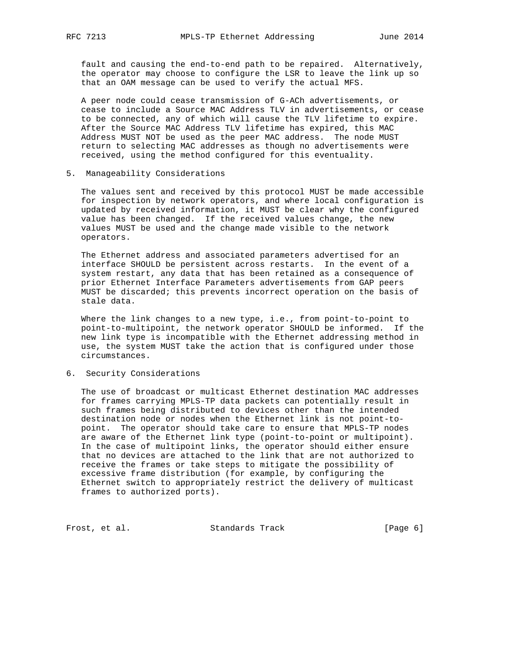fault and causing the end-to-end path to be repaired. Alternatively, the operator may choose to configure the LSR to leave the link up so that an OAM message can be used to verify the actual MFS.

 A peer node could cease transmission of G-ACh advertisements, or cease to include a Source MAC Address TLV in advertisements, or cease to be connected, any of which will cause the TLV lifetime to expire. After the Source MAC Address TLV lifetime has expired, this MAC Address MUST NOT be used as the peer MAC address. The node MUST return to selecting MAC addresses as though no advertisements were received, using the method configured for this eventuality.

# 5. Manageability Considerations

 The values sent and received by this protocol MUST be made accessible for inspection by network operators, and where local configuration is updated by received information, it MUST be clear why the configured value has been changed. If the received values change, the new values MUST be used and the change made visible to the network operators.

 The Ethernet address and associated parameters advertised for an interface SHOULD be persistent across restarts. In the event of a system restart, any data that has been retained as a consequence of prior Ethernet Interface Parameters advertisements from GAP peers MUST be discarded; this prevents incorrect operation on the basis of stale data.

 Where the link changes to a new type, i.e., from point-to-point to point-to-multipoint, the network operator SHOULD be informed. If the new link type is incompatible with the Ethernet addressing method in use, the system MUST take the action that is configured under those circumstances.

# 6. Security Considerations

 The use of broadcast or multicast Ethernet destination MAC addresses for frames carrying MPLS-TP data packets can potentially result in such frames being distributed to devices other than the intended destination node or nodes when the Ethernet link is not point-to point. The operator should take care to ensure that MPLS-TP nodes are aware of the Ethernet link type (point-to-point or multipoint). In the case of multipoint links, the operator should either ensure that no devices are attached to the link that are not authorized to receive the frames or take steps to mitigate the possibility of excessive frame distribution (for example, by configuring the Ethernet switch to appropriately restrict the delivery of multicast frames to authorized ports).

Frost, et al. Standards Track [Page 6]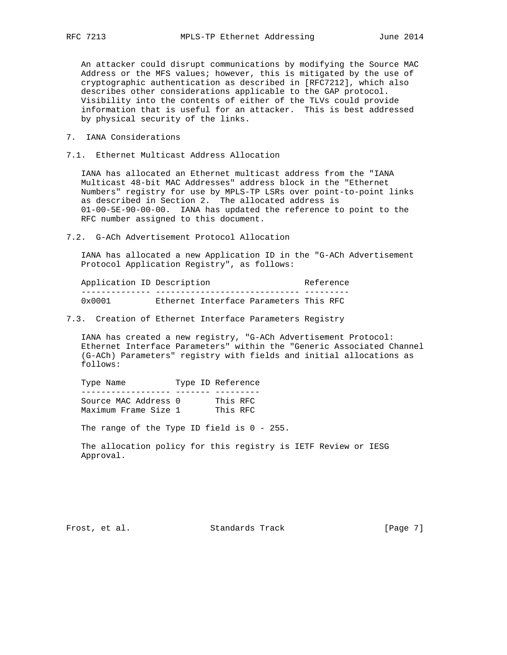An attacker could disrupt communications by modifying the Source MAC Address or the MFS values; however, this is mitigated by the use of cryptographic authentication as described in [RFC7212], which also describes other considerations applicable to the GAP protocol. Visibility into the contents of either of the TLVs could provide information that is useful for an attacker. This is best addressed by physical security of the links.

- 7. IANA Considerations
- 7.1. Ethernet Multicast Address Allocation

 IANA has allocated an Ethernet multicast address from the "IANA Multicast 48-bit MAC Addresses" address block in the "Ethernet Numbers" registry for use by MPLS-TP LSRs over point-to-point links as described in Section 2. The allocated address is 01-00-5E-90-00-00. IANA has updated the reference to point to the RFC number assigned to this document.

7.2. G-ACh Advertisement Protocol Allocation

 IANA has allocated a new Application ID in the "G-ACh Advertisement Protocol Application Registry", as follows:

| Application ID Description |  | Reference                              |  |  |  |  |  |
|----------------------------|--|----------------------------------------|--|--|--|--|--|
|                            |  |                                        |  |  |  |  |  |
| $0 \times 0001$            |  | Ethernet Interface Parameters This RFC |  |  |  |  |  |

7.3. Creation of Ethernet Interface Parameters Registry

 IANA has created a new registry, "G-ACh Advertisement Protocol: Ethernet Interface Parameters" within the "Generic Associated Channel (G-ACh) Parameters" registry with fields and initial allocations as follows:

Type Name Type ID Reference ------------------ ------- --------- Source MAC Address 0 This RFC Maximum Frame Size 1 This RFC

The range of the Type ID field is 0 - 255.

 The allocation policy for this registry is IETF Review or IESG Approval.

Frost, et al. Standards Track [Page 7]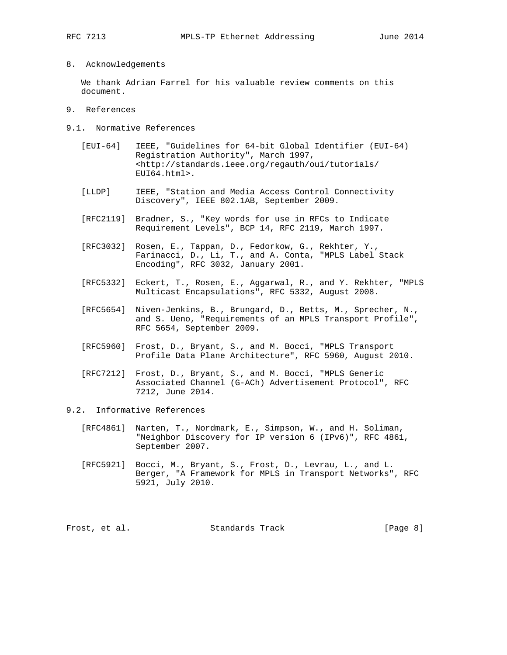### 8. Acknowledgements

 We thank Adrian Farrel for his valuable review comments on this document.

- 9. References
- 9.1. Normative References
	- [EUI-64] IEEE, "Guidelines for 64-bit Global Identifier (EUI-64) Registration Authority", March 1997, <http://standards.ieee.org/regauth/oui/tutorials/ EUI64.html>.
	- [LLDP] IEEE, "Station and Media Access Control Connectivity Discovery", IEEE 802.1AB, September 2009.
	- [RFC2119] Bradner, S., "Key words for use in RFCs to Indicate Requirement Levels", BCP 14, RFC 2119, March 1997.
	- [RFC3032] Rosen, E., Tappan, D., Fedorkow, G., Rekhter, Y., Farinacci, D., Li, T., and A. Conta, "MPLS Label Stack Encoding", RFC 3032, January 2001.
	- [RFC5332] Eckert, T., Rosen, E., Aggarwal, R., and Y. Rekhter, "MPLS Multicast Encapsulations", RFC 5332, August 2008.
	- [RFC5654] Niven-Jenkins, B., Brungard, D., Betts, M., Sprecher, N., and S. Ueno, "Requirements of an MPLS Transport Profile", RFC 5654, September 2009.
	- [RFC5960] Frost, D., Bryant, S., and M. Bocci, "MPLS Transport Profile Data Plane Architecture", RFC 5960, August 2010.
	- [RFC7212] Frost, D., Bryant, S., and M. Bocci, "MPLS Generic Associated Channel (G-ACh) Advertisement Protocol", RFC 7212, June 2014.
- 9.2. Informative References
	- [RFC4861] Narten, T., Nordmark, E., Simpson, W., and H. Soliman, "Neighbor Discovery for IP version 6 (IPv6)", RFC 4861, September 2007.
	- [RFC5921] Bocci, M., Bryant, S., Frost, D., Levrau, L., and L. Berger, "A Framework for MPLS in Transport Networks", RFC 5921, July 2010.

Frost, et al. Standards Track [Page 8]